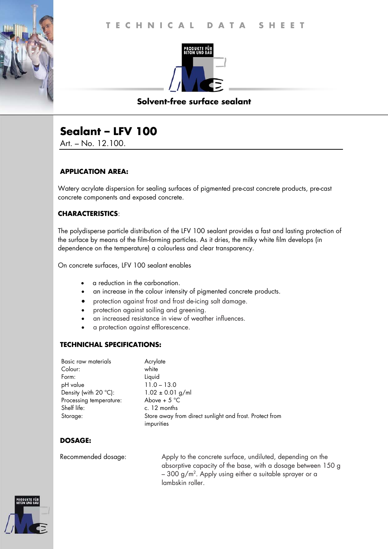

## **Solvent-free surface sealant**

# **Sealant – LFV 100**

Art. – No. 12.100.

## **APPLICATION AREA:**

Watery acrylate dispersion for sealing surfaces of pigmented pre-cast concrete products, pre-cast concrete components and exposed concrete.

## **CHARACTERISTICS**:

The polydisperse particle distribution of the LFV 100 sealant provides a fast and lasting protection of the surface by means of the film-forming particles. As it dries, the milky white film develops (in dependence on the temperature) a colourless and clear transparency.

On concrete surfaces, LFV 100 sealant enables

- a reduction in the carbonation.
- an increase in the colour intensity of pigmented concrete products.
- protection against frost and frost de-icing salt damage.
- protection against soiling and greening.
- an increased resistance in view of weather influences.
- a protection against efflorescence.

### **TECHNICHAL SPECIFICATIONS:**

| Basic raw materials            | Acrylate                                                |
|--------------------------------|---------------------------------------------------------|
| Colour:                        | white                                                   |
| Form:                          | Liquid                                                  |
| pH value                       | $11.0 - 13.0$                                           |
| Density (with $20^{\circ}$ C): | $1.02 \pm 0.01$ g/ml                                    |
| Processing temperature:        | Above + $5^{\circ}$ C                                   |
| Shelf life:                    | c. 12 months                                            |
| Storage:                       | Store away from direct sunlight and frost. Protect from |
|                                | impurities                                              |

## **DOSAGE:**

Recommended dosage: Apply to the concrete surface, undiluted, depending on the absorptive capacity of the base, with a dosage between 150 g – 300 g/m². Apply using either a suitable sprayer or a $\,$ lambskin roller.